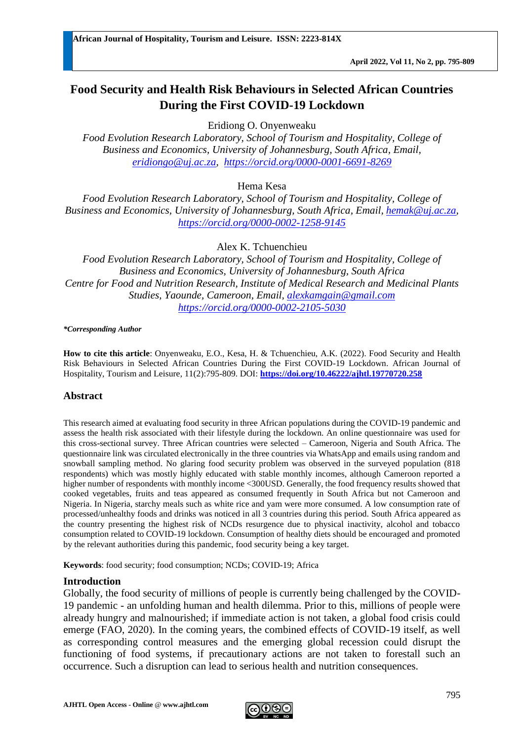# **Food Security and Health Risk Behaviours in Selected African Countries During the First COVID-19 Lockdown**

Eridiong O. Onyenweaku

*Food Evolution Research Laboratory, School of Tourism and Hospitality, College of Business and Economics, University of Johannesburg, South Africa, Email, [eridiongo@uj.ac.za,](mailto:eridiongo@uj.ac.za) <https://orcid.org/0000-0001-6691-8269>*

Hema Kesa

*Food Evolution Research Laboratory, School of Tourism and Hospitality, College of Business and Economics, University of Johannesburg, South Africa, Email, [hemak@uj.ac.za,](mailto:hemak@uj.ac.za) <https://orcid.org/0000-0002-1258-9145>*

Alex K. Tchuenchieu

*Food Evolution Research Laboratory, School of Tourism and Hospitality, College of Business and Economics, University of Johannesburg, South Africa Centre for Food and Nutrition Research, Institute of Medical Research and Medicinal Plants Studies, Yaounde, Cameroon, Email, [alexkamgain@gmail.com](mailto:alexkamgain@gmail.com) <https://orcid.org/0000-0002-2105-5030>*

*\*Corresponding Author*

**How to cite this article**: Onyenweaku, E.O., Kesa, H. & Tchuenchieu, A.K. (2022). Food Security and Health Risk Behaviours in Selected African Countries During the First COVID-19 Lockdown. African Journal of Hospitality, Tourism and Leisure, 11(2):795-809. DOI: **<https://doi.org/10.46222/ajhtl.19770720.258>**

## **Abstract**

This research aimed at evaluating food security in three African populations during the COVID-19 pandemic and assess the health risk associated with their lifestyle during the lockdown. An online questionnaire was used for this cross-sectional survey. Three African countries were selected – Cameroon, Nigeria and South Africa. The questionnaire link was circulated electronically in the three countries via WhatsApp and emails using random and snowball sampling method. No glaring food security problem was observed in the surveyed population (818 respondents) which was mostly highly educated with stable monthly incomes, although Cameroon reported a higher number of respondents with monthly income <300USD. Generally, the food frequency results showed that cooked vegetables, fruits and teas appeared as consumed frequently in South Africa but not Cameroon and Nigeria. In Nigeria, starchy meals such as white rice and yam were more consumed. A low consumption rate of processed/unhealthy foods and drinks was noticed in all 3 countries during this period. South Africa appeared as the country presenting the highest risk of NCDs resurgence due to physical inactivity, alcohol and tobacco consumption related to COVID-19 lockdown. Consumption of healthy diets should be encouraged and promoted by the relevant authorities during this pandemic, food security being a key target.

**Keywords**: food security; food consumption; NCDs; COVID-19; Africa

#### **Introduction**

Globally, the food security of millions of people is currently being challenged by the COVID-19 pandemic - an unfolding human and health dilemma. Prior to this, millions of people were already hungry and malnourished; if immediate action is not taken, a global food crisis could emerge (FAO, 2020). In the coming years, the combined effects of COVID-19 itself, as well as corresponding control measures and the emerging global recession could disrupt the functioning of food systems, if precautionary actions are not taken to forestall such an occurrence. Such a disruption can lead to serious health and nutrition consequences.

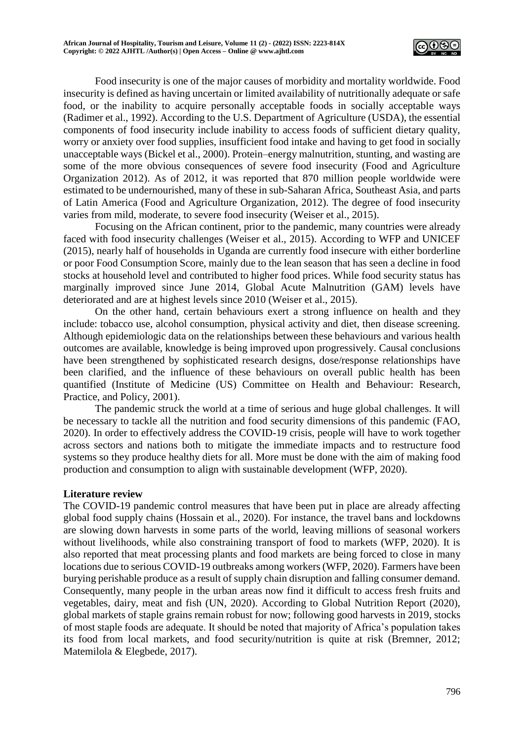

Food insecurity is one of the major causes of morbidity and mortality worldwide. Food insecurity is defined as having uncertain or limited availability of nutritionally adequate or safe food, or the inability to acquire personally acceptable foods in socially acceptable ways (Radimer et al., 1992). According to the U.S. Department of Agriculture (USDA), the essential components of food insecurity include inability to access foods of sufficient dietary quality, worry or anxiety over food supplies, insufficient food intake and having to get food in socially unacceptable ways (Bickel et al., 2000). Protein–energy malnutrition, stunting, and wasting are some of the more obvious consequences of severe food insecurity (Food and Agriculture Organization 2012). As of 2012, it was reported that 870 million people worldwide were estimated to be undernourished, many of these in sub-Saharan Africa, Southeast Asia, and parts of Latin America (Food and Agriculture Organization, 2012). The degree of food insecurity varies from mild, moderate, to severe food insecurity (Weiser et al., 2015).

Focusing on the African continent, prior to the pandemic, many countries were already faced with food insecurity challenges (Weiser et al., 2015). According to WFP and UNICEF (2015), nearly half of households in Uganda are currently food insecure with either borderline or poor Food Consumption Score, mainly due to the lean season that has seen a decline in food stocks at household level and contributed to higher food prices. While food security status has marginally improved since June 2014, Global Acute Malnutrition (GAM) levels have deteriorated and are at highest levels since 2010 (Weiser et al., 2015).

On the other hand, certain behaviours exert a strong influence on health and they include: tobacco use, alcohol consumption, physical activity and diet, then disease screening. Although epidemiologic data on the relationships between these behaviours and various health outcomes are available, knowledge is being improved upon progressively. Causal conclusions have been strengthened by sophisticated research designs, dose/response relationships have been clarified, and the influence of these behaviours on overall public health has been quantified (Institute of Medicine (US) Committee on Health and Behaviour: Research, Practice, and Policy, 2001).

The pandemic struck the world at a time of serious and huge global challenges. It will be necessary to tackle all the nutrition and food security dimensions of this pandemic (FAO, 2020). In order to effectively address the COVID-19 crisis, people will have to work together across sectors and nations both to mitigate the immediate impacts and to restructure food systems so they produce healthy diets for all. More must be done with the aim of making food production and consumption to align with sustainable development (WFP, 2020).

#### **Literature review**

The COVID-19 pandemic control measures that have been put in place are already affecting global food supply chains (Hossain et al., 2020). For instance, the travel bans and lockdowns are slowing down harvests in some parts of the world, leaving millions of seasonal workers without livelihoods, while also constraining transport of food to markets (WFP, 2020). It is also reported that meat processing plants and food markets are being forced to close in many locations due to serious COVID-19 outbreaks among workers (WFP, 2020). Farmers have been burying perishable produce as a result of supply chain disruption and falling consumer demand. Consequently, many people in the urban areas now find it difficult to access fresh fruits and vegetables, dairy, meat and fish (UN, 2020). According to Global Nutrition Report (2020), global markets of staple grains remain robust for now; following good harvests in 2019, stocks of most staple foods are adequate. It should be noted that majority of Africa's population takes its food from local markets, and food security/nutrition is quite at risk (Bremner, 2012; Matemilola & Elegbede, 2017).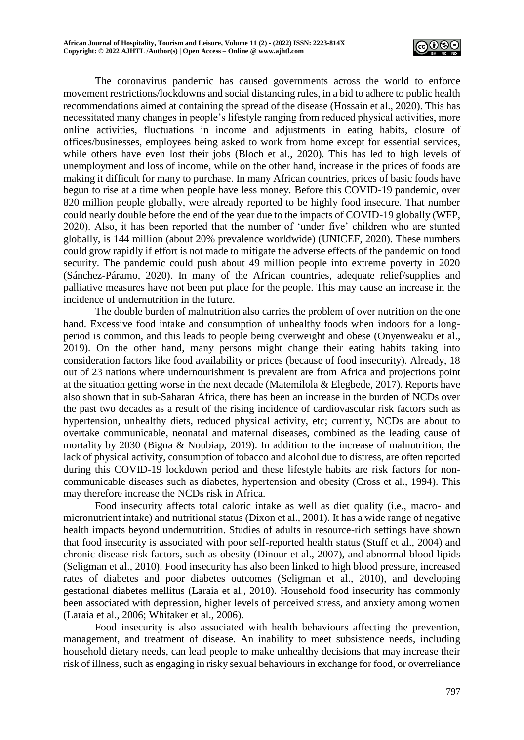

The coronavirus pandemic has caused governments across the world to enforce movement restrictions/lockdowns and social distancing rules, in a bid to adhere to public health recommendations aimed at containing the spread of the disease (Hossain et al., 2020). This has necessitated many changes in people's lifestyle ranging from reduced physical activities, more online activities, fluctuations in income and adjustments in eating habits, closure of offices/businesses, employees being asked to work from home except for essential services, while others have even lost their jobs (Bloch et al., 2020). This has led to high levels of unemployment and loss of income, while on the other hand, increase in the prices of foods are making it difficult for many to purchase. In many African countries, prices of basic foods have begun to rise at a time when people have less money. Before this COVID-19 pandemic, over 820 million people globally, were already reported to be highly food insecure. That number could nearly double before the end of the year due to the impacts of COVID-19 globally (WFP, 2020). Also, it has been reported that the number of 'under five' children who are stunted globally, is 144 million (about 20% prevalence worldwide) (UNICEF, 2020). These numbers could grow rapidly if effort is not made to mitigate the adverse effects of the pandemic on food security. The pandemic could push about 49 million people into extreme poverty in 2020 (Sánchez-Páramo, 2020). In many of the African countries, adequate relief/supplies and palliative measures have not been put place for the people. This may cause an increase in the incidence of undernutrition in the future.

The double burden of malnutrition also carries the problem of over nutrition on the one hand. Excessive food intake and consumption of unhealthy foods when indoors for a longperiod is common, and this leads to people being overweight and obese (Onyenweaku et al., 2019). On the other hand, many persons might change their eating habits taking into consideration factors like food availability or prices (because of food insecurity). Already, 18 out of 23 nations where undernourishment is prevalent are from Africa and projections point at the situation getting worse in the next decade (Matemilola & Elegbede, 2017). Reports have also shown that in sub-Saharan Africa, there has been an increase in the burden of NCDs over the past two decades as a result of the rising incidence of cardiovascular risk factors such as hypertension, unhealthy diets, reduced physical activity, etc; currently, NCDs are about to overtake communicable, neonatal and maternal diseases, combined as the leading cause of mortality by 2030 (Bigna & Noubiap, 2019). In addition to the increase of malnutrition, the lack of physical activity, consumption of tobacco and alcohol due to distress, are often reported during this COVID-19 lockdown period and these lifestyle habits are risk factors for noncommunicable diseases such as diabetes, hypertension and obesity (Cross et al., 1994). This may therefore increase the NCDs risk in Africa.

Food insecurity affects total caloric intake as well as diet quality (i.e., macro- and micronutrient intake) and nutritional status (Dixon et al., 2001). It has a wide range of negative health impacts beyond undernutrition. Studies of adults in resource-rich settings have shown that food insecurity is associated with poor self-reported health status (Stuff et al., 2004) and chronic disease risk factors, such as obesity (Dinour et al., 2007), and abnormal blood lipids (Seligman et al., 2010). Food insecurity has also been linked to high blood pressure, increased rates of diabetes and poor diabetes outcomes (Seligman et al., 2010), and developing gestational diabetes mellitus (Laraia et al., 2010). Household food insecurity has commonly been associated with depression, higher levels of perceived stress, and anxiety among women (Laraia et al., 2006; Whitaker et al., 2006).

Food insecurity is also associated with health behaviours affecting the prevention, management, and treatment of disease. An inability to meet subsistence needs, including household dietary needs, can lead people to make unhealthy decisions that may increase their risk of illness, such as engaging in risky sexual behaviours in exchange for food, or overreliance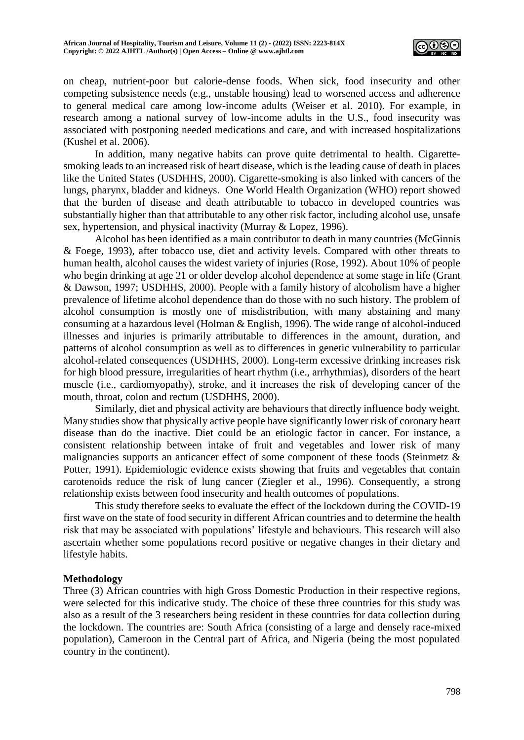

on cheap, nutrient-poor but calorie-dense foods. When sick, food insecurity and other competing subsistence needs (e.g., unstable housing) lead to worsened access and adherence to general medical care among low-income adults (Weiser et al. 2010). For example, in research among a national survey of low-income adults in the U.S., food insecurity was associated with postponing needed medications and care, and with increased hospitalizations (Kushel et al. 2006).

In addition, many negative habits can prove quite detrimental to health. Cigarettesmoking leads to an increased risk of heart disease, which is the leading cause of death in places like the United States (USDHHS, 2000). Cigarette-smoking is also linked with cancers of the lungs, pharynx, bladder and kidneys. One World Health Organization (WHO) report showed that the burden of disease and death attributable to tobacco in developed countries was substantially higher than that attributable to any other risk factor, including alcohol use, unsafe sex, hypertension, and physical inactivity (Murray & Lopez, 1996).

Alcohol has been identified as a main contributor to death in many countries (McGinnis & Foege, 1993), after tobacco use, diet and activity levels. Compared with other threats to human health, alcohol causes the widest variety of injuries (Rose, 1992). About 10% of people who begin drinking at age 21 or older develop alcohol dependence at some stage in life (Grant & Dawson, 1997; USDHHS, 2000). People with a family history of alcoholism have a higher prevalence of lifetime alcohol dependence than do those with no such history. The problem of alcohol consumption is mostly one of misdistribution, with many abstaining and many consuming at a hazardous level (Holman & English, 1996). The wide range of alcohol-induced illnesses and injuries is primarily attributable to differences in the amount, duration, and patterns of alcohol consumption as well as to differences in genetic vulnerability to particular alcohol-related consequences (USDHHS, 2000). Long-term excessive drinking increases risk for high blood pressure, irregularities of heart rhythm (i.e., arrhythmias), disorders of the heart muscle (i.e., cardiomyopathy), stroke, and it increases the risk of developing cancer of the mouth, throat, colon and rectum (USDHHS, 2000).

Similarly, diet and physical activity are behaviours that directly influence body weight. Many studies show that physically active people have significantly lower risk of coronary heart disease than do the inactive. Diet could be an etiologic factor in cancer. For instance, a consistent relationship between intake of fruit and vegetables and lower risk of many malignancies supports an anticancer effect of some component of these foods (Steinmetz & Potter, 1991). Epidemiologic evidence exists showing that fruits and vegetables that contain carotenoids reduce the risk of lung cancer (Ziegler et al., 1996). Consequently, a strong relationship exists between food insecurity and health outcomes of populations.

This study therefore seeks to evaluate the effect of the lockdown during the COVID-19 first wave on the state of food security in different African countries and to determine the health risk that may be associated with populations' lifestyle and behaviours. This research will also ascertain whether some populations record positive or negative changes in their dietary and lifestyle habits.

## **Methodology**

Three (3) African countries with high Gross Domestic Production in their respective regions, were selected for this indicative study. The choice of these three countries for this study was also as a result of the 3 researchers being resident in these countries for data collection during the lockdown. The countries are: South Africa (consisting of a large and densely race-mixed population), Cameroon in the Central part of Africa, and Nigeria (being the most populated country in the continent).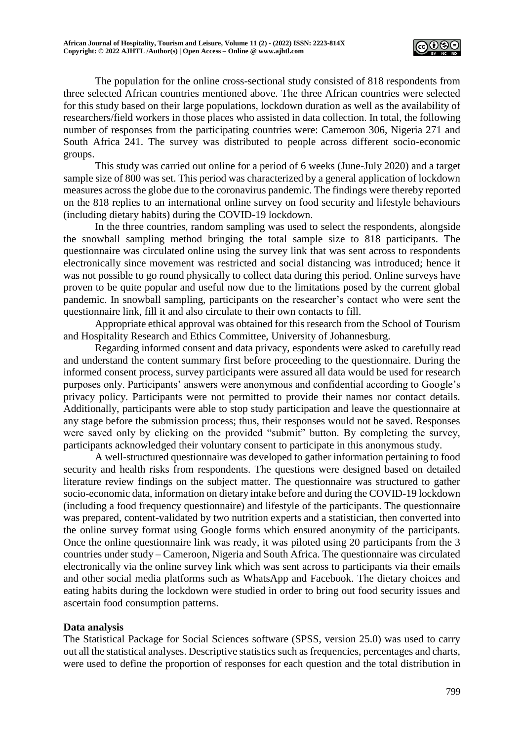

The population for the online cross-sectional study consisted of 818 respondents from three selected African countries mentioned above. The three African countries were selected for this study based on their large populations, lockdown duration as well as the availability of researchers/field workers in those places who assisted in data collection. In total, the following number of responses from the participating countries were: Cameroon 306, Nigeria 271 and South Africa 241. The survey was distributed to people across different socio-economic groups.

This study was carried out online for a period of 6 weeks (June-July 2020) and a target sample size of 800 was set. This period was characterized by a general application of lockdown measures across the globe due to the coronavirus pandemic. The findings were thereby reported on the 818 replies to an international online survey on food security and lifestyle behaviours (including dietary habits) during the COVID-19 lockdown.

In the three countries, random sampling was used to select the respondents, alongside the snowball sampling method bringing the total sample size to 818 participants. The questionnaire was circulated online using the survey link that was sent across to respondents electronically since movement was restricted and social distancing was introduced; hence it was not possible to go round physically to collect data during this period. Online surveys have proven to be quite popular and useful now due to the limitations posed by the current global pandemic. In snowball sampling, participants on the researcher's contact who were sent the questionnaire link, fill it and also circulate to their own contacts to fill.

Appropriate ethical approval was obtained for this research from the School of Tourism and Hospitality Research and Ethics Committee, University of Johannesburg.

Regarding informed consent and data privacy, espondents were asked to carefully read and understand the content summary first before proceeding to the questionnaire. During the informed consent process, survey participants were assured all data would be used for research purposes only. Participants' answers were anonymous and confidential according to Google's privacy policy. Participants were not permitted to provide their names nor contact details. Additionally, participants were able to stop study participation and leave the questionnaire at any stage before the submission process; thus, their responses would not be saved. Responses were saved only by clicking on the provided "submit" button. By completing the survey, participants acknowledged their voluntary consent to participate in this anonymous study.

A well-structured questionnaire was developed to gather information pertaining to food security and health risks from respondents. The questions were designed based on detailed literature review findings on the subject matter. The questionnaire was structured to gather socio-economic data, information on dietary intake before and during the COVID-19 lockdown (including a food frequency questionnaire) and lifestyle of the participants. The questionnaire was prepared, content-validated by two nutrition experts and a statistician, then converted into the online survey format using Google forms which ensured anonymity of the participants. Once the online questionnaire link was ready, it was piloted using 20 participants from the 3 countries under study – Cameroon, Nigeria and South Africa. The questionnaire was circulated electronically via the online survey link which was sent across to participants via their emails and other social media platforms such as WhatsApp and Facebook. The dietary choices and eating habits during the lockdown were studied in order to bring out food security issues and ascertain food consumption patterns.

## **Data analysis**

The Statistical Package for Social Sciences software (SPSS, version 25.0) was used to carry out all the statistical analyses. Descriptive statistics such as frequencies, percentages and charts, were used to define the proportion of responses for each question and the total distribution in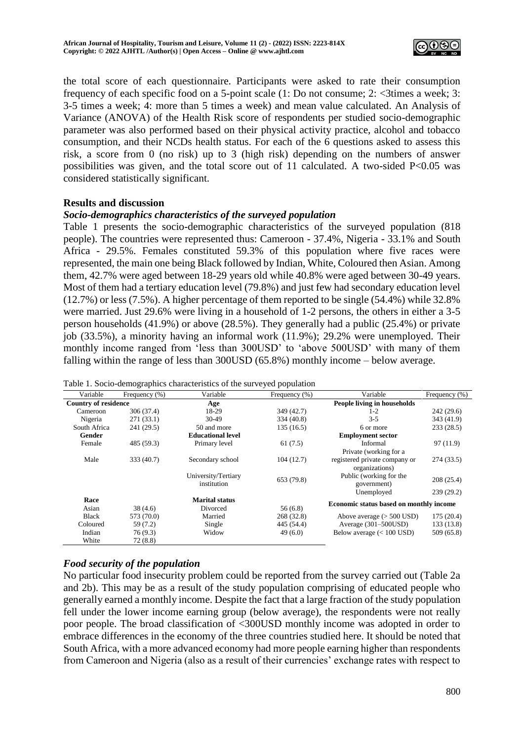

the total score of each questionnaire. Participants were asked to rate their consumption frequency of each specific food on a 5-point scale  $(1: Do not consume; 2: \leq 3$ times a week; 3: 3-5 times a week; 4: more than 5 times a week) and mean value calculated. An Analysis of Variance (ANOVA) of the Health Risk score of respondents per studied socio-demographic parameter was also performed based on their physical activity practice, alcohol and tobacco consumption, and their NCDs health status. For each of the 6 questions asked to assess this risk, a score from 0 (no risk) up to 3 (high risk) depending on the numbers of answer possibilities was given, and the total score out of 11 calculated. A two-sided  $P<0.05$  was considered statistically significant.

#### **Results and discussion**

## *Socio-demographics characteristics of the surveyed population*

Table 1 presents the socio-demographic characteristics of the surveyed population (818 people). The countries were represented thus: Cameroon - 37.4%, Nigeria - 33.1% and South Africa - 29.5%. Females constituted 59.3% of this population where five races were represented, the main one being Black followed by Indian, White, Coloured then Asian. Among them, 42.7% were aged between 18-29 years old while 40.8% were aged between 30-49 years. Most of them had a tertiary education level (79.8%) and just few had secondary education level (12.7%) or less (7.5%). A higher percentage of them reported to be single (54.4%) while 32.8% were married. Just 29.6% were living in a household of 1-2 persons, the others in either a 3-5 person households (41.9%) or above (28.5%). They generally had a public (25.4%) or private job (33.5%), a minority having an informal work (11.9%); 29.2% were unemployed. Their monthly income ranged from 'less than 300USD' to 'above 500USD' with many of them falling within the range of less than 300USD (65.8%) monthly income – below average.

| Variable                    | Frequency $(\% )$ | Variable                           | Frequency (%) | Variable                                        | Frequency $(\% )$ |  |  |  |
|-----------------------------|-------------------|------------------------------------|---------------|-------------------------------------------------|-------------------|--|--|--|
| <b>Country of residence</b> |                   | Age                                |               | People living in households                     |                   |  |  |  |
| Cameroon                    | 306 (37.4)        | 18-29                              | 349 (42.7)    | $1-2$                                           | 242(29.6)         |  |  |  |
| Nigeria                     | 271(33.1)         | 30-49                              | 334 (40.8)    | $3 - 5$                                         | 343 (41.9)        |  |  |  |
| South Africa                | 241 (29.5)        | 50 and more                        | 135 (16.5)    | 233(28.5)<br>6 or more                          |                   |  |  |  |
| Gender                      |                   | <b>Educational level</b>           |               | <b>Employment sector</b>                        |                   |  |  |  |
| Female                      | 485 (59.3)        | Primary level                      | 61(7.5)       | Informal                                        | 97(11.9)          |  |  |  |
|                             |                   |                                    |               | Private (working for a                          |                   |  |  |  |
| Male                        | 333 (40.7)        | Secondary school                   | 104(12.7)     | registered private company or<br>organizations) | 274 (33.5)        |  |  |  |
|                             |                   | University/Tertiary<br>institution | 653 (79.8)    | Public (working for the<br>government)          | 208(25.4)         |  |  |  |
|                             |                   |                                    |               | Unemployed                                      | 239 (29.2)        |  |  |  |
| Race<br>Asian               | 38(4.6)           | <b>Marital status</b><br>Divorced  | 56(6.8)       | Economic status based on monthly income         |                   |  |  |  |
| <b>Black</b>                | 573 (70.0)        | Married                            | 268 (32.8)    | Above average $(> 500$ USD)                     | 175(20.4)         |  |  |  |
| Coloured                    | 59 (7.2)          | Single                             | 445 (54.4)    | Average $(301-500USD)$                          | 133 (13.8)        |  |  |  |
| Indian                      | 76 (9.3)          | Widow                              | 49(6.0)       | Below average $(< 100$ USD)                     | 509 (65.8)        |  |  |  |
| White                       | 72(8.8)           |                                    |               |                                                 |                   |  |  |  |

Table 1. Socio-demographics characteristics of the surveyed population

## *Food security of the population*

No particular food insecurity problem could be reported from the survey carried out (Table 2a and 2b). This may be as a result of the study population comprising of educated people who generally earned a monthly income. Despite the fact that a large fraction of the study population fell under the lower income earning group (below average), the respondents were not really poor people. The broad classification of <300USD monthly income was adopted in order to embrace differences in the economy of the three countries studied here. It should be noted that South Africa, with a more advanced economy had more people earning higher than respondents from Cameroon and Nigeria (also as a result of their currencies' exchange rates with respect to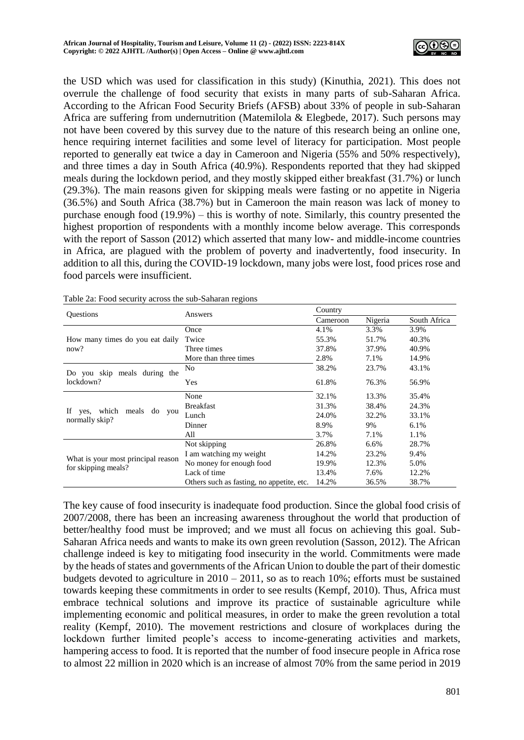

the USD which was used for classification in this study) (Kinuthia, 2021). This does not overrule the challenge of food security that exists in many parts of sub-Saharan Africa. According to the African Food Security Briefs (AFSB) about 33% of people in sub-Saharan Africa are suffering from undernutrition (Matemilola & Elegbede, 2017). Such persons may not have been covered by this survey due to the nature of this research being an online one, hence requiring internet facilities and some level of literacy for participation. Most people reported to generally eat twice a day in Cameroon and Nigeria (55% and 50% respectively), and three times a day in South Africa (40.9%). Respondents reported that they had skipped meals during the lockdown period, and they mostly skipped either breakfast (31.7%) or lunch (29.3%). The main reasons given for skipping meals were fasting or no appetite in Nigeria (36.5%) and South Africa (38.7%) but in Cameroon the main reason was lack of money to purchase enough food (19.9%) – this is worthy of note. Similarly, this country presented the highest proportion of respondents with a monthly income below average. This corresponds with the report of Sasson (2012) which asserted that many low- and middle-income countries in Africa, are plagued with the problem of poverty and inadvertently, food insecurity. In addition to all this, during the COVID-19 lockdown, many jobs were lost, food prices rose and food parcels were insufficient.

| <b>Questions</b>                                   | Answers                                   | Country  |         |              |  |  |
|----------------------------------------------------|-------------------------------------------|----------|---------|--------------|--|--|
|                                                    |                                           | Cameroon | Nigeria | South Africa |  |  |
|                                                    | Once                                      | 4.1%     | 3.3%    | 3.9%         |  |  |
| How many times do you eat daily                    | Twice                                     | 55.3%    | 51.7%   | 40.3%        |  |  |
| now?                                               | Three times                               | 37.8%    | 37.9%   | 40.9%        |  |  |
|                                                    | More than three times                     | 2.8%     | 7.1%    | 14.9%        |  |  |
| Do you skip meals during the                       | N <sub>0</sub>                            | 38.2%    | 23.7%   | 43.1%        |  |  |
| lockdown?                                          | Yes                                       | 61.8%    | 76.3%   | 56.9%        |  |  |
|                                                    | None                                      | 32.1%    | 13.3%   | 35.4%        |  |  |
| If                                                 | <b>Breakfast</b>                          | 31.3%    | 38.4%   | 24.3%        |  |  |
| yes, which<br>meals<br>do<br>you<br>normally skip? | Lunch                                     | 24.0%    | 32.2%   | 33.1%        |  |  |
|                                                    | Dinner                                    | 8.9%     | 9%      | $6.1\%$      |  |  |
|                                                    | All                                       | 3.7%     | 7.1%    | 1.1%         |  |  |
|                                                    | Not skipping                              | 26.8%    | 6.6%    | 28.7%        |  |  |
|                                                    | I am watching my weight                   | 14.2%    | 23.2%   | 9.4%         |  |  |
| What is your most principal reason                 | No money for enough food                  | 19.9%    | 12.3%   | 5.0%         |  |  |
| for skipping meals?                                | Lack of time                              | 13.4%    | 7.6%    | 12.2%        |  |  |
|                                                    | Others such as fasting, no appetite, etc. | 14.2%    | 36.5%   | 38.7%        |  |  |

Table 2a: Food security across the sub-Saharan regions

The key cause of food insecurity is inadequate food production. Since the global food crisis of 2007/2008, there has been an increasing awareness throughout the world that production of better/healthy food must be improved; and we must all focus on achieving this goal. Sub-Saharan Africa needs and wants to make its own green revolution (Sasson, 2012). The African challenge indeed is key to mitigating food insecurity in the world. Commitments were made by the heads of states and governments of the African Union to double the part of their domestic budgets devoted to agriculture in 2010 – 2011, so as to reach 10%; efforts must be sustained towards keeping these commitments in order to see results (Kempf, 2010). Thus, Africa must embrace technical solutions and improve its practice of sustainable agriculture while implementing economic and political measures, in order to make the green revolution a total reality (Kempf, 2010). The movement restrictions and closure of workplaces during the lockdown further limited people's access to income-generating activities and markets, hampering access to food. It is reported that the number of food insecure people in Africa rose to almost 22 million in 2020 which is an increase of almost 70% from the same period in 2019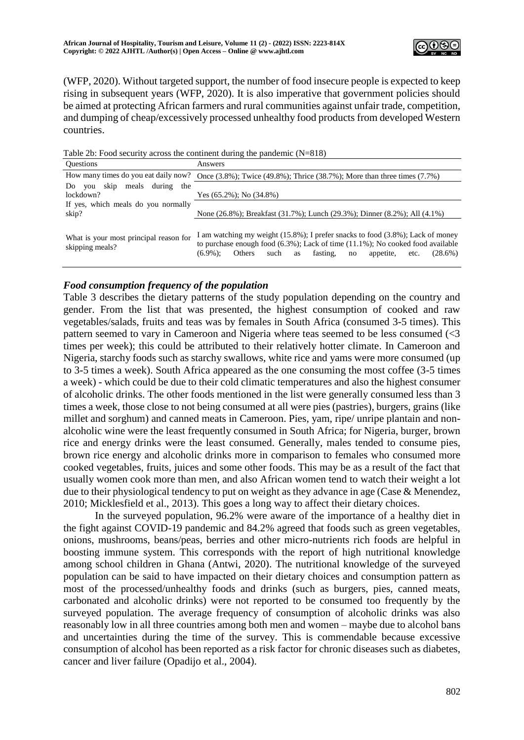

(WFP, 2020). Without targeted support, the number of food insecure people is expected to keep rising in subsequent years (WFP, 2020). It is also imperative that government policies should be aimed at protecting African farmers and rural communities against unfair trade, competition, and dumping of cheap/excessively processed unhealthy food products from developed Western countries.

Table 2b: Food security across the continent during the pandemic (N=818)

| <b>Ouestions</b>                                          | Answers                                                                                                                                                                                                                                                                     |
|-----------------------------------------------------------|-----------------------------------------------------------------------------------------------------------------------------------------------------------------------------------------------------------------------------------------------------------------------------|
| How many times do you eat daily now?                      | Once $(3.8\%)$ ; Twice $(49.8\%)$ ; Thrice $(38.7\%)$ ; More than three times $(7.7\%)$                                                                                                                                                                                     |
| meals during<br>skip<br>the<br>Do.<br>vou                 |                                                                                                                                                                                                                                                                             |
| lockdown?                                                 | Yes $(65.2\%)$ ; No $(34.8\%)$                                                                                                                                                                                                                                              |
| If yes, which meals do you normally                       |                                                                                                                                                                                                                                                                             |
| skip?                                                     | None (26.8%); Breakfast (31.7%); Lunch (29.3%); Dinner (8.2%); All (4.1%)                                                                                                                                                                                                   |
| What is your most principal reason for<br>skipping meals? | I am watching my weight (15.8%); I prefer snacks to food (3.8%); Lack of money<br>to purchase enough food $(6.3\%)$ ; Lack of time $(11.1\%)$ ; No cooked food available<br>fasting,<br>$(6.9\%)$ :<br>such<br><b>Others</b><br>$(28.6\%)$<br>appetite,<br>as<br>no<br>etc. |

## *Food consumption frequency of the population*

Table 3 describes the dietary patterns of the study population depending on the country and gender. From the list that was presented, the highest consumption of cooked and raw vegetables/salads, fruits and teas was by females in South Africa (consumed 3-5 times). This pattern seemed to vary in Cameroon and Nigeria where teas seemed to be less consumed (<3 times per week); this could be attributed to their relatively hotter climate. In Cameroon and Nigeria, starchy foods such as starchy swallows, white rice and yams were more consumed (up to 3-5 times a week). South Africa appeared as the one consuming the most coffee (3-5 times a week) - which could be due to their cold climatic temperatures and also the highest consumer of alcoholic drinks. The other foods mentioned in the list were generally consumed less than 3 times a week, those close to not being consumed at all were pies (pastries), burgers, grains (like millet and sorghum) and canned meats in Cameroon. Pies, yam, ripe/ unripe plantain and nonalcoholic wine were the least frequently consumed in South Africa; for Nigeria, burger, brown rice and energy drinks were the least consumed. Generally, males tended to consume pies, brown rice energy and alcoholic drinks more in comparison to females who consumed more cooked vegetables, fruits, juices and some other foods. This may be as a result of the fact that usually women cook more than men, and also African women tend to watch their weight a lot due to their physiological tendency to put on weight as they advance in age (Case & Menendez, 2010; Micklesfield et al., 2013). This goes a long way to affect their dietary choices.

In the surveyed population, 96.2% were aware of the importance of a healthy diet in the fight against COVID-19 pandemic and 84.2% agreed that foods such as green vegetables, onions, mushrooms, beans/peas, berries and other micro-nutrients rich foods are helpful in boosting immune system. This corresponds with the report of high nutritional knowledge among school children in Ghana (Antwi, 2020). The nutritional knowledge of the surveyed population can be said to have impacted on their dietary choices and consumption pattern as most of the processed/unhealthy foods and drinks (such as burgers, pies, canned meats, carbonated and alcoholic drinks) were not reported to be consumed too frequently by the surveyed population. The average frequency of consumption of alcoholic drinks was also reasonably low in all three countries among both men and women – maybe due to alcohol bans and uncertainties during the time of the survey. This is commendable because excessive consumption of alcohol has been reported as a risk factor for chronic diseases such as diabetes, cancer and liver failure (Opadijo et al., 2004).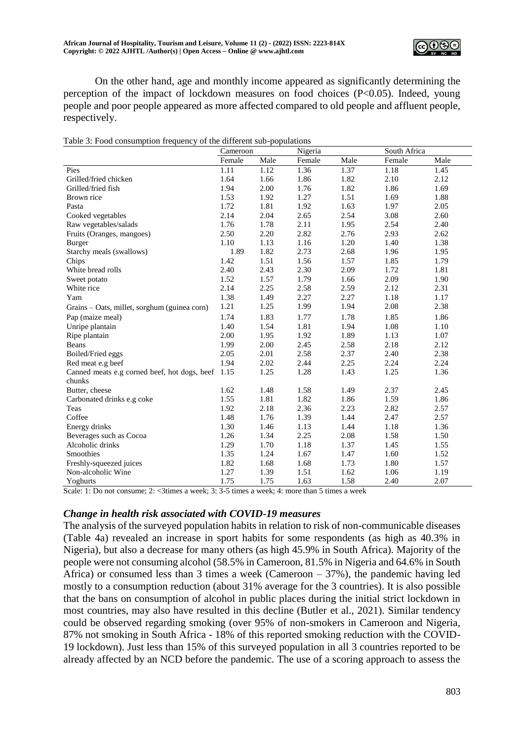

On the other hand, age and monthly income appeared as significantly determining the perception of the impact of lockdown measures on food choices (P<0.05). Indeed, young people and poor people appeared as more affected compared to old people and affluent people, respectively.

|  | Table 3: Food consumption frequency of the different sub-populations |  |
|--|----------------------------------------------------------------------|--|
|  |                                                                      |  |

|                                              | Cameroon |      | Nigeria |      | South Africa |      |
|----------------------------------------------|----------|------|---------|------|--------------|------|
|                                              | Female   | Male | Female  | Male | Female       | Male |
| Pies                                         | 1.11     | 1.12 | 1.36    | 1.37 | 1.18         | 1.45 |
| Grilled/fried chicken                        | 1.64     | 1.66 | 1.86    | 1.82 | 2.10         | 2.12 |
| Grilled/fried fish                           | 1.94     | 2.00 | 1.76    | 1.82 | 1.86         | 1.69 |
| Brown rice                                   | 1.53     | 1.92 | 1.27    | 1.51 | 1.69         | 1.88 |
| Pasta                                        | 1.72     | 1.81 | 1.92    | 1.63 | 1.97         | 2.05 |
| Cooked vegetables                            | 2.14     | 2.04 | 2.65    | 2.54 | 3.08         | 2.60 |
| Raw vegetables/salads                        | 1.76     | 1.78 | 2.11    | 1.95 | 2.54         | 2.40 |
| Fruits (Oranges, mangoes)                    | 2.50     | 2.20 | 2.82    | 2.76 | 2.93         | 2.62 |
| <b>Burger</b>                                | 1.10     | 1.13 | 1.16    | 1.20 | 1.40         | 1.38 |
| Starchy meals (swallows)                     | 1.89     | 1.82 | 2.73    | 2.68 | 1.96         | 1.95 |
| Chips                                        | 1.42     | 1.51 | 1.56    | 1.57 | 1.85         | 1.79 |
| White bread rolls                            | 2.40     | 2.43 | 2.30    | 2.09 | 1.72         | 1.81 |
| Sweet potato                                 | 1.52     | 1.57 | 1.79    | 1.66 | 2.09         | 1.90 |
| White rice                                   | 2.14     | 2.25 | 2.58    | 2.59 | 2.12         | 2.31 |
| Yam                                          | 1.38     | 1.49 | 2.27    | 2.27 | 1.18         | 1.17 |
| Grains - Oats, millet, sorghum (guinea corn) | 1.21     | 1.25 | 1.99    | 1.94 | 2.08         | 2.38 |
| Pap (maize meal)                             | 1.74     | 1.83 | 1.77    | 1.78 | 1.85         | 1.86 |
| Unripe plantain                              | 1.40     | 1.54 | 1.81    | 1.94 | 1.08         | 1.10 |
| Ripe plantain                                | 2.00     | 1.95 | 1.92    | 1.89 | 1.13         | 1.07 |
| Beans                                        | 1.99     | 2.00 | 2.45    | 2.58 | 2.18         | 2.12 |
| Boiled/Fried eggs                            | 2.05     | 2.01 | 2.58    | 2.37 | 2.40         | 2.38 |
| Red meat e.g beef                            | 1.94     | 2.02 | 2.44    | 2.25 | 2.24         | 2.24 |
| Canned meats e.g corned beef, hot dogs, beef | 1.15     | 1.25 | 1.28    | 1.43 | 1.25         | 1.36 |
| chunks                                       |          |      |         |      |              |      |
| Butter, cheese                               | 1.62     | 1.48 | 1.58    | 1.49 | 2.37         | 2.45 |
| Carbonated drinks e.g coke                   | 1.55     | 1.81 | 1.82    | 1.86 | 1.59         | 1.86 |
| Teas                                         | 1.92     | 2.18 | 2.36    | 2.23 | 2.82         | 2.57 |
| Coffee                                       | 1.48     | 1.76 | 1.39    | 1.44 | 2.47         | 2.57 |
| Energy drinks                                | 1.30     | 1.46 | 1.13    | 1.44 | 1.18         | 1.36 |
| Beverages such as Cocoa                      | 1.26     | 1.34 | 2.25    | 2.08 | 1.58         | 1.50 |
| Alcoholic drinks                             | 1.29     | 1.70 | 1.18    | 1.37 | 1.45         | 1.55 |
| Smoothies                                    | 1.35     | 1.24 | 1.67    | 1.47 | 1.60         | 1.52 |
| Freshly-squeezed juices                      | 1.82     | 1.68 | 1.68    | 1.73 | 1.80         | 1.57 |
| Non-alcoholic Wine                           | 1.27     | 1.39 | 1.51    | 1.62 | 1.06         | 1.19 |
| Yoghurts                                     | 1.75     | 1.75 | 1.63    | 1.58 | 2.40         | 2.07 |

Scale: 1: Do not consume; 2: <3times a week; 3: 3-5 times a week; 4: more than 5 times a week

#### *Change in health risk associated with COVID-19 measures*

The analysis of the surveyed population habits in relation to risk of non-communicable diseases (Table 4a) revealed an increase in sport habits for some respondents (as high as 40.3% in Nigeria), but also a decrease for many others (as high 45.9% in South Africa). Majority of the people were not consuming alcohol (58.5% in Cameroon, 81.5% in Nigeria and 64.6% in South Africa) or consumed less than 3 times a week (Cameroon – 37%), the pandemic having led mostly to a consumption reduction (about 31% average for the 3 countries). It is also possible that the bans on consumption of alcohol in public places during the initial strict lockdown in most countries, may also have resulted in this decline (Butler et al., 2021). Similar tendency could be observed regarding smoking (over 95% of non-smokers in Cameroon and Nigeria, 87% not smoking in South Africa - 18% of this reported smoking reduction with the COVID-19 lockdown). Just less than 15% of this surveyed population in all 3 countries reported to be already affected by an NCD before the pandemic. The use of a scoring approach to assess the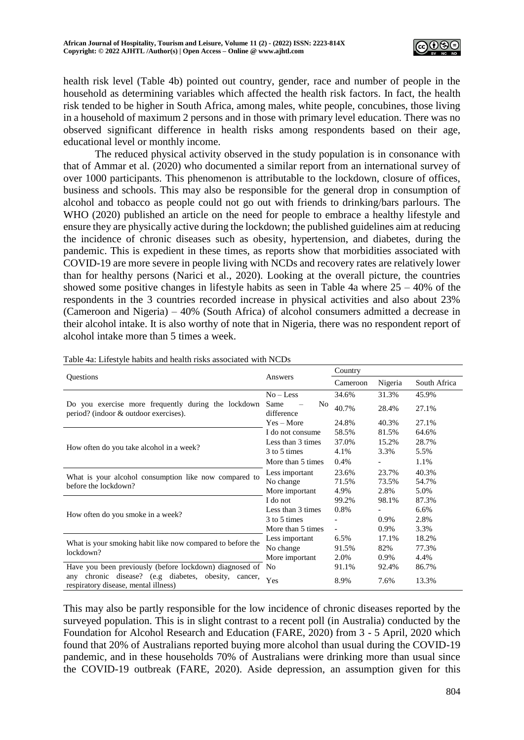

health risk level (Table 4b) pointed out country, gender, race and number of people in the household as determining variables which affected the health risk factors. In fact, the health risk tended to be higher in South Africa, among males, white people, concubines, those living in a household of maximum 2 persons and in those with primary level education. There was no observed significant difference in health risks among respondents based on their age, educational level or monthly income.

The reduced physical activity observed in the study population is in consonance with that of Ammar et al. (2020) who documented a similar report from an international survey of over 1000 participants. This phenomenon is attributable to the lockdown, closure of offices, business and schools. This may also be responsible for the general drop in consumption of alcohol and tobacco as people could not go out with friends to drinking/bars parlours. The WHO (2020) published an article on the need for people to embrace a healthy lifestyle and ensure they are physically active during the lockdown; the published guidelines aim at reducing the incidence of chronic diseases such as obesity, hypertension, and diabetes, during the pandemic. This is expedient in these times, as reports show that morbidities associated with COVID-19 are more severe in people living with NCDs and recovery rates are relatively lower than for healthy persons (Narici et al., 2020). Looking at the overall picture, the countries showed some positive changes in lifestyle habits as seen in Table 4a where  $25 - 40\%$  of the respondents in the 3 countries recorded increase in physical activities and also about 23% (Cameroon and Nigeria) – 40% (South Africa) of alcohol consumers admitted a decrease in their alcohol intake. It is also worthy of note that in Nigeria, there was no respondent report of alcohol intake more than 5 times a week.

|                                                                                                 |                                      | Country                  |         |              |  |
|-------------------------------------------------------------------------------------------------|--------------------------------------|--------------------------|---------|--------------|--|
| Questions                                                                                       | Answers                              | Cameroon                 | Nigeria | South Africa |  |
|                                                                                                 | $No - Less$                          | 34.6%                    | 31.3%   | 45.9%        |  |
| Do you exercise more frequently during the lockdown<br>period? (indoor & outdoor exercises).    | Same<br>N <sub>0</sub><br>difference | 40.7%                    | 28.4%   | 27.1%        |  |
|                                                                                                 | $Yes - More$                         | 24.8%                    | 40.3%   | 27.1%        |  |
|                                                                                                 | I do not consume                     | 58.5%                    | 81.5%   | 64.6%        |  |
|                                                                                                 | Less than 3 times                    | 37.0%                    | 15.2%   | 28.7%        |  |
| How often do you take alcohol in a week?                                                        | 3 to 5 times                         | 4.1%                     | 3.3%    | 5.5%         |  |
|                                                                                                 | More than 5 times                    | 0.4%                     |         | 1.1%         |  |
|                                                                                                 | Less important                       | 23.6%                    | 23.7%   | 40.3%        |  |
| What is your alcohol consumption like now compared to                                           | No change                            | 71.5%                    | 73.5%   | 54.7%        |  |
| before the lockdown?                                                                            | More important                       | 4.9%                     | 2.8%    | 5.0%         |  |
|                                                                                                 | I do not                             | 99.2%                    | 98.1%   | 87.3%        |  |
|                                                                                                 | Less than 3 times                    | 0.8%                     |         | 6.6%         |  |
| How often do you smoke in a week?                                                               | 3 to 5 times                         |                          | 0.9%    | 2.8%         |  |
|                                                                                                 | More than 5 times                    | $\overline{\phantom{a}}$ | 0.9%    | 3.3%         |  |
| What is your smoking habit like now compared to before the                                      | Less important                       | 6.5%                     | 17.1%   | 18.2%        |  |
| lockdown?                                                                                       | No change                            | 91.5%                    | 82%     | 77.3%        |  |
|                                                                                                 | More important                       | 2.0%                     | 0.9%    | 4.4%         |  |
| Have you been previously (before lockdown) diagnosed of No                                      |                                      | 91.1%                    | 92.4%   | 86.7%        |  |
| chronic disease? (e.g diabetes, obesity, cancer,<br>any<br>respiratory disease, mental illness) | Yes                                  | 8.9%                     | 7.6%    | 13.3%        |  |

Table 4a: Lifestyle habits and health risks associated with NCDs

This may also be partly responsible for the low incidence of chronic diseases reported by the surveyed population. This is in slight contrast to a recent poll (in Australia) conducted by the Foundation for Alcohol Research and Education (FARE, 2020) from 3 - 5 April, 2020 which found that 20% of Australians reported buying more alcohol than usual during the COVID-19 pandemic, and in these households 70% of Australians were drinking more than usual since the COVID-19 outbreak (FARE, 2020). Aside depression, an assumption given for this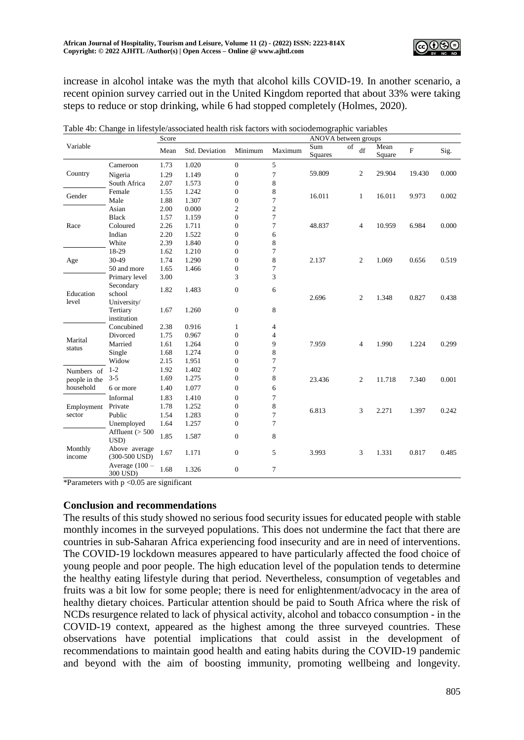

increase in alcohol intake was the myth that alcohol kills COVID-19. In another scenario, a recent opinion survey carried out in the United Kingdom reported that about 33% were taking steps to reduce or stop drinking, while 6 had stopped completely (Holmes, 2020).

|                   |                                  | Score<br>ANOVA between groups |                |                  |                |                |    |                |                |           |       |
|-------------------|----------------------------------|-------------------------------|----------------|------------------|----------------|----------------|----|----------------|----------------|-----------|-------|
| Variable          |                                  | Mean                          | Std. Deviation | Minimum          | Maximum        | Sum<br>Squares | of | df             | Mean<br>Square | ${\bf F}$ | Sig.  |
|                   | Cameroon                         | 1.73                          | 1.020          | $\mathbf{0}$     | 5              |                |    |                |                |           |       |
| Country           | Nigeria                          | 1.29                          | 1.149          | $\mathbf{0}$     | 7              | 59.809         |    | $\overline{2}$ | 29.904         | 19.430    | 0.000 |
|                   | South Africa                     | 2.07                          | 1.573          | $\boldsymbol{0}$ | $\,$ 8 $\,$    |                |    |                |                |           |       |
|                   | Female                           | 1.55                          | 1.242          | $\boldsymbol{0}$ | 8              |                |    |                |                |           |       |
| Gender            | Male                             | 1.88                          | 1.307          | $\mathbf{0}$     | $\tau$         | 16.011         |    | $\mathbf{1}$   | 16.011         | 9.973     | 0.002 |
|                   | Asian                            | 2.00                          | 0.000          | $\mathfrak{2}$   | $\sqrt{2}$     |                |    |                |                |           |       |
|                   | <b>Black</b>                     | 1.57                          | 1.159          | $\mathbf{0}$     | $\overline{7}$ |                |    |                |                |           |       |
| Race              | Coloured                         | 2.26                          | 1.711          | $\theta$         | 7              | 48.837         |    | 4              | 10.959         | 6.984     | 0.000 |
|                   | Indian                           | 2.20                          | 1.522          | $\theta$         | 6              |                |    |                |                |           |       |
|                   | White                            | 2.39                          | 1.840          | $\boldsymbol{0}$ | $\,$ 8 $\,$    |                |    |                |                |           |       |
|                   | 18-29                            | 1.62                          | 1.210          | $\boldsymbol{0}$ | $\tau$         |                |    |                |                |           |       |
| Age               | 30-49                            | 1.74                          | 1.290          | $\mathbf{0}$     | 8              | 2.137          |    | 2              | 1.069          | 0.656     | 0.519 |
|                   | 50 and more                      | 1.65                          | 1.466          | $\theta$         | $\overline{7}$ |                |    |                |                |           |       |
| Education         | Primary level                    | 3.00                          |                | 3                | 3              |                |    |                |                |           |       |
|                   | Secondary<br>school              | 1.82                          | 1.483          | $\mathbf{0}$     | 6              | 2.696          |    | $\overline{2}$ | 1.348          | 0.827     | 0.438 |
| level             | University/                      |                               |                |                  |                |                |    |                |                |           |       |
|                   | Tertiary<br>institution          | 1.67                          | 1.260          | $\mathbf{0}$     | 8              |                |    |                |                |           |       |
|                   | Concubined                       | 2.38                          | 0.916          | 1                | 4              |                |    |                |                |           |       |
| Marital           | Divorced                         | 1.75                          | 0.967          | $\boldsymbol{0}$ | 4              |                |    |                |                |           |       |
|                   | Married                          | 1.61                          | 1.264          | $\boldsymbol{0}$ | 9              | 7.959          |    | $\overline{4}$ | 1.990          | 1.224     | 0.299 |
| status            | Single                           | 1.68                          | 1.274          | $\mathbf{0}$     | 8              |                |    |                |                |           |       |
|                   | Widow                            | 2.15                          | 1.951          | $\overline{0}$   | $\tau$         |                |    |                |                |           |       |
| Numbers of        | $1-2$                            | 1.92                          | 1.402          | $\theta$         | 7              |                |    |                |                |           |       |
| people in the     | $3 - 5$                          | 1.69                          | 1.275          | $\mathbf{0}$     | $\,$ 8 $\,$    | 23.436         |    | 2              | 11.718         | 7.340     | 0.001 |
| household         | 6 or more                        | 1.40                          | 1.077          | $\theta$         | 6              |                |    |                |                |           |       |
|                   | Informal                         | 1.83                          | 1.410          | $\mathbf{0}$     | $\tau$         |                |    |                |                |           |       |
| Employment        | Private                          | 1.78                          | 1.252          | $\theta$         | 8              |                |    |                |                |           |       |
| sector            | Public                           | 1.54                          | 1.283          | $\theta$         | $\tau$         | 6.813          |    | 3              | 2.271          | 1.397     | 0.242 |
|                   | Unemployed                       | 1.64                          | 1.257          | $\mathbf{0}$     | $\overline{7}$ |                |    |                |                |           |       |
| Monthly<br>income | Affluent $(> 500$<br>USD)        | 1.85                          | 1.587          | $\mathbf{0}$     | 8              |                |    |                |                |           |       |
|                   | Above average<br>$(300-500$ USD) | 1.67                          | 1.171          | $\boldsymbol{0}$ | 5              | 3.993          |    | 3              | 1.331          | 0.817     | 0.485 |
|                   | Average $(100 -$<br>300 USD)     | 1.68                          | 1.326          | $\boldsymbol{0}$ | $\tau$         |                |    |                |                |           |       |

| Table 4b: Change in lifestyle/associated health risk factors with sociodemographic variables |  |
|----------------------------------------------------------------------------------------------|--|
|                                                                                              |  |

\*Parameters with  $p < 0.05$  are significant

#### **Conclusion and recommendations**

The results of this study showed no serious food security issues for educated people with stable monthly incomes in the surveyed populations. This does not undermine the fact that there are countries in sub-Saharan Africa experiencing food insecurity and are in need of interventions. The COVID-19 lockdown measures appeared to have particularly affected the food choice of young people and poor people. The high education level of the population tends to determine the healthy eating lifestyle during that period. Nevertheless, consumption of vegetables and fruits was a bit low for some people; there is need for enlightenment/advocacy in the area of healthy dietary choices. Particular attention should be paid to South Africa where the risk of NCDs resurgence related to lack of physical activity, alcohol and tobacco consumption - in the COVID-19 context, appeared as the highest among the three surveyed countries. These observations have potential implications that could assist in the development of recommendations to maintain good health and eating habits during the COVID-19 pandemic and beyond with the aim of boosting immunity, promoting wellbeing and longevity.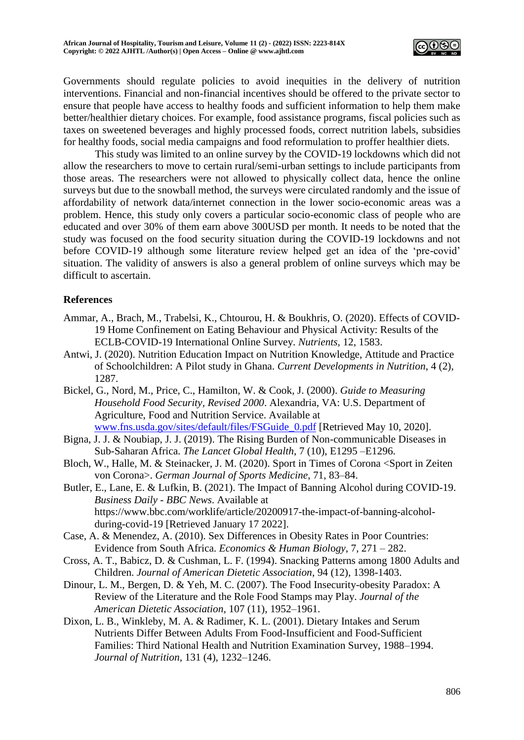

Governments should regulate policies to avoid inequities in the delivery of nutrition interventions. Financial and non-financial incentives should be offered to the private sector to ensure that people have access to healthy foods and sufficient information to help them make better/healthier dietary choices. For example, food assistance programs, fiscal policies such as taxes on sweetened beverages and highly processed foods, correct nutrition labels, subsidies for healthy foods, social media campaigns and food reformulation to proffer healthier diets.

This study was limited to an online survey by the COVID-19 lockdowns which did not allow the researchers to move to certain rural/semi-urban settings to include participants from those areas. The researchers were not allowed to physically collect data, hence the online surveys but due to the snowball method, the surveys were circulated randomly and the issue of affordability of network data/internet connection in the lower socio-economic areas was a problem. Hence, this study only covers a particular socio-economic class of people who are educated and over 30% of them earn above 300USD per month. It needs to be noted that the study was focused on the food security situation during the COVID-19 lockdowns and not before COVID-19 although some literature review helped get an idea of the 'pre-covid' situation. The validity of answers is also a general problem of online surveys which may be difficult to ascertain.

## **References**

- Ammar, A., Brach, M., Trabelsi, K., Chtourou, H. & Boukhris, O. (2020). Effects of COVID-19 Home Confinement on Eating Behaviour and Physical Activity: Results of the ECLB-COVID-19 International Online Survey. *Nutrients,* 12, 1583.
- Antwi, J. (2020). Nutrition Education Impact on Nutrition Knowledge, Attitude and Practice of Schoolchildren: A Pilot study in Ghana. *Current Developments in Nutrition*, 4 (2), 1287.
- Bickel, G., Nord, M., Price, C., Hamilton, W. & Cook, J. (2000). *Guide to Measuring Household Food Security, Revised 2000*. Alexandria, VA: U.S. Department of Agriculture, Food and Nutrition Service. Available at [www.fns.usda.gov/sites/default/files/FSGuide\\_0.pdf](http://www.fns.usda.gov/sites/default/files/FSGuide_0.pdf) [Retrieved May 10, 2020].
- Bigna, J. J. & Noubiap, J. J. (2019). The Rising Burden of Non-communicable Diseases in Sub-Saharan Africa. *The Lancet Global Health*, 7 (10), E1295 –E1296.
- Bloch, W., Halle, M. & Steinacker, J. M. (2020). Sport in Times of Corona <Sport in Zeiten von Corona>. *German Journal of Sports Medicine*, 71, 83–84.
- Butler, E., Lane, E. & Lufkin, B. (2021). The Impact of Banning Alcohol during COVID-19. *Business Daily - BBC News*. Available at https://www.bbc.com/worklife/article/20200917-the-impact-of-banning-alcoholduring-covid-19 [Retrieved January 17 2022].
- Case, A. & Menendez, A. (2010). Sex Differences in Obesity Rates in Poor Countries: Evidence from South Africa. *Economics & Human Biol*o*gy*, 7, 271 – 282.
- Cross, A. T., Babicz, D. & Cushman, L. F. (1994). Snacking Patterns among 1800 Adults and Children. *Journal of American Dietetic Association*, 94 (12), 1398-1403.
- Dinour, L. M., Bergen, D. & Yeh, M. C. (2007). The Food Insecurity-obesity Paradox: A Review of the Literature and the Role Food Stamps may Play. *Journal of the American Dietetic Association,* 107 (11), 1952–1961.
- Dixon, L. B., Winkleby, M. A. & Radimer, K. L. (2001). Dietary Intakes and Serum Nutrients Differ Between Adults From Food-Insufficient and Food-Sufficient Families: Third National Health and Nutrition Examination Survey, 1988–1994. *Journal of Nutrition,* 131 (4), 1232–1246.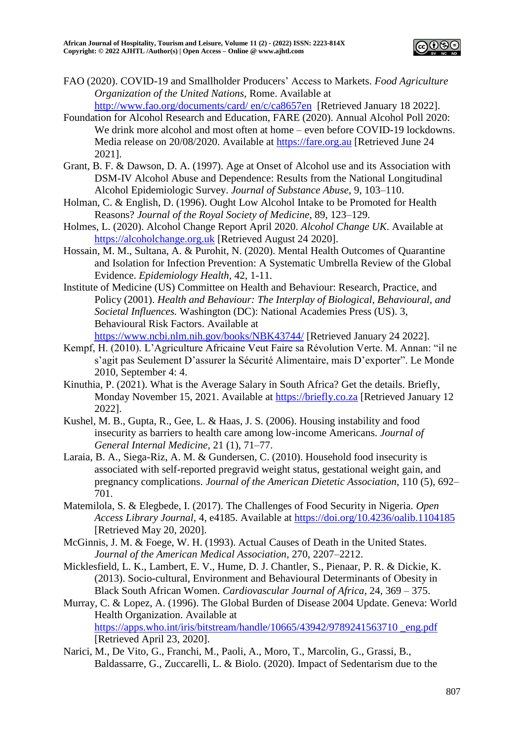

FAO (2020). COVID-19 and Smallholder Producers' Access to Markets. *Food Agriculture Organization of the United Nations,* Rome. Available at

[http://www.fao.org/documents/card/ en/c/ca8657en](http://www.fao.org/documents/card/%20en/c/ca8657en) [Retrieved January 18 2022].

- Foundation for Alcohol Research and Education, FARE (2020). Annual Alcohol Poll 2020: We drink more alcohol and most often at home – even before COVID-19 lockdowns. Media release on 20/08/2020. Available at [https://fare.org.au](https://fare.org.au/) [Retrieved June 24 2021].
- Grant, B. F. & Dawson, D. A. (1997). Age at Onset of Alcohol use and its Association with DSM-IV Alcohol Abuse and Dependence: Results from the National Longitudinal Alcohol Epidemiologic Survey. *Journal of Substance Abuse*, 9, 103–110.
- Holman, C. & English, D. (1996). Ought Low Alcohol Intake to be Promoted for Health Reasons? *Journal of the Royal Society of Medicine*, 89, 123–129.
- Holmes, L. (2020). Alcohol Change Report April 2020. *Alcohol Change UK*. Available at [https://alcoholchange.org.uk](https://alcoholchange.org.uk/) [Retrieved August 24 2020].
- Hossain, M. M., Sultana, A. & Purohit, N. (2020). Mental Health Outcomes of Quarantine and Isolation for Infection Prevention: A Systematic Umbrella Review of the Global Evidence. *Epidemiology Health,* 42, 1-11.
- Institute of Medicine (US) Committee on Health and Behaviour: Research, Practice, and Policy (2001). *Health and Behaviour: The Interplay of Biological, Behavioural, and Societal Influences.* Washington (DC): National Academies Press (US). 3, Behavioural Risk Factors. Available at <https://www.ncbi.nlm.nih.gov/books/NBK43744/> [Retrieved January 24 2022].
- Kempf, H. (2010). L'Agriculture Africaine Veut Faire sa Révolution Verte. M. Annan: "il ne s'agit pas Seulement D'assurer la Sécurité Alimentaire, mais D'exporter". Le Monde 2010, September 4: 4.
- Kinuthia, P. (2021). What is the Average Salary in South Africa? Get the details. Briefly, Monday November 15, 2021. Available at [https://briefly.co.za](https://briefly.co.za/) [Retrieved January 12 2022].
- Kushel, M. B., Gupta, R., Gee, L. & Haas, J. S. (2006). Housing instability and food insecurity as barriers to health care among low-income Americans. *Journal of General Internal Medicine,* 21 (1), 71–77.
- Laraia, B. A., Siega-Riz, A. M. & Gundersen, C. (2010). Household food insecurity is associated with self-reported pregravid weight status, gestational weight gain, and pregnancy complications. *Journal of the American Dietetic Association,* 110 (5), 692– 701.
- Matemilola, S. & Elegbede, I. (2017). The Challenges of Food Security in Nigeria. *Open Access Library Journal*, 4, e4185. Available at<https://doi.org/10.4236/oalib.1104185> [Retrieved May 20, 2020].
- McGinnis, J. M. & Foege, W. H. (1993). Actual Causes of Death in the United States. *Journal of the American Medical Association*, 270, 2207–2212.
- Micklesfield, L. K., Lambert, E. V., Hume, D. J. Chantler, S., Pienaar, P. R. & Dickie, K. (2013). Socio-cultural, Environment and Behavioural Determinants of Obesity in Black South African Women. *Cardiovascular Journal of Africa*, 24, 369 – 375.

Murray, C. & Lopez, A. (1996). The Global Burden of Disease 2004 Update. Geneva: World Health Organization. Available at [https://apps.who.int/iris/bitstream/handle/10665/43942/9789241563710 \\_eng.pdf](https://apps.who.int/iris/bitstream/handle/10665/43942/9789241563710%20_eng.pdf) [Retrieved April 23, 2020].

Narici, M., De Vito, G., Franchi, M., Paoli, A., Moro, T., Marcolin, G., Grassi, B., Baldassarre, G., Zuccarelli, L. & Biolo. (2020). Impact of Sedentarism due to the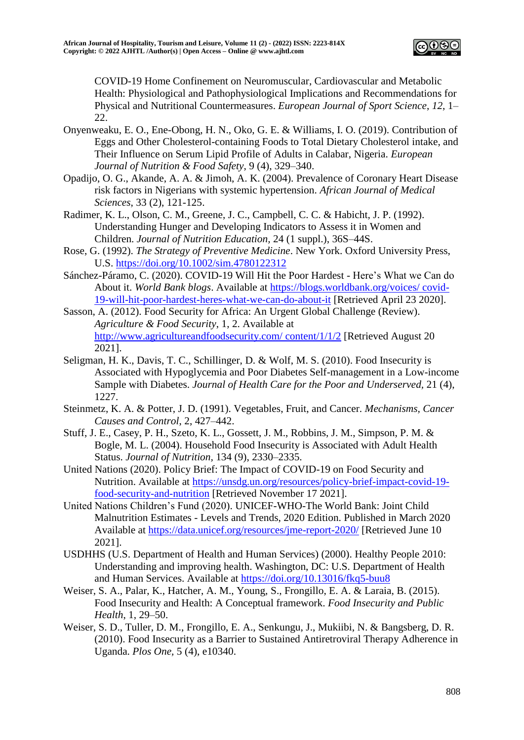

COVID-19 Home Confinement on Neuromuscular, Cardiovascular and Metabolic Health: Physiological and Pathophysiological Implications and Recommendations for Physical and Nutritional Countermeasures. *European Journal of Sport Science*, *12*, 1– 22.

- Onyenweaku, E. O., Ene-Obong, H. N., Oko, G. E. & Williams, I. O. (2019). Contribution of Eggs and Other Cholesterol-containing Foods to Total Dietary Cholesterol intake, and Their Influence on Serum Lipid Profile of Adults in Calabar, Nigeria. *European Journal of Nutrition & Food Safety*, 9 (4), 329–340.
- Opadijo, O. G., Akande, A. A. & Jimoh, A. K. (2004). Prevalence of Coronary Heart Disease risk factors in Nigerians with systemic hypertension. *African Journal of Medical Sciences*, 33 (2), 121-125.
- Radimer, K. L., Olson, C. M., Greene, J. C., Campbell, C. C. & Habicht, J. P. (1992). Understanding Hunger and Developing Indicators to Assess it in Women and Children. *Journal of Nutrition Education,* 24 (1 suppl.), 36S–44S.
- Rose, G. (1992). *The Strategy of Preventive Medicine*. New York. Oxford University Press, U.S.<https://doi.org/10.1002/sim.4780122312>
- Sánchez-Páramo, C. (2020). COVID-19 Will Hit the Poor Hardest Here's What we Can do About it. *World Bank blogs*. Available at [https://blogs.worldbank.org/voices/ covid-](https://blogs.worldbank.org/voices/%20covid-19-will-hit-poor-hardest-heres-what-we-can-do-about-it)[19-will-hit-poor-hardest-heres-what-we-can-do-about-it](https://blogs.worldbank.org/voices/%20covid-19-will-hit-poor-hardest-heres-what-we-can-do-about-it) [Retrieved April 23 2020].
- Sasson, A. (2012). Food Security for Africa: An Urgent Global Challenge (Review). *Agriculture & Food Security*, 1, 2. Available at [http://www.agricultureandfoodsecurity.com/ content/1/1/2](http://www.agricultureandfoodsecurity.com/%20content/1/1/2) [Retrieved August 20 2021].
- Seligman, H. K., Davis, T. C., Schillinger, D. & Wolf, M. S. (2010). Food Insecurity is Associated with Hypoglycemia and Poor Diabetes Self-management in a Low-income Sample with Diabetes. *Journal of Health Care for the Poor and Underserved,* 21 (4), 1227.
- Steinmetz, K. A. & Potter, J. D. (1991). Vegetables, Fruit, and Cancer. *Mechanisms, Cancer Causes and Control*, 2, 427–442.
- Stuff, J. E., Casey, P. H., Szeto, K. L., Gossett, J. M., Robbins, J. M., Simpson, P. M. & Bogle, M. L. (2004). Household Food Insecurity is Associated with Adult Health Status. *Journal of Nutrition,* 134 (9), 2330–2335.
- United Nations (2020). Policy Brief: The Impact of COVID-19 on Food Security and Nutrition. Available at [https://unsdg.un.org/resources/policy-brief-impact-covid-19](https://unsdg.un.org/resources/policy-brief-impact-covid-19-food-security-and-nutrition) [food-security-and-nutrition](https://unsdg.un.org/resources/policy-brief-impact-covid-19-food-security-and-nutrition) [Retrieved November 17 2021].
- United Nations Children's Fund (2020). UNICEF-WHO-The World Bank: Joint Child Malnutrition Estimates - Levels and Trends, 2020 Edition. Published in March 2020 Available at<https://data.unicef.org/resources/jme-report-2020/> [Retrieved June 10 2021].
- USDHHS (U.S. Department of Health and Human Services) (2000). Healthy People 2010: Understanding and improving health. Washington, DC: U.S. Department of Health and Human Services. Available at<https://doi.org/10.13016/fkq5-buu8>
- Weiser, S. A., Palar, K., Hatcher, A. M., Young, S., Frongillo, E. A. & Laraia, B. (2015). Food Insecurity and Health: A Conceptual framework. *Food Insecurity and Public Health*, 1, 29–50.
- Weiser, S. D., Tuller, D. M., Frongillo, E. A., Senkungu, J., Mukiibi, N. & Bangsberg, D. R. (2010). Food Insecurity as a Barrier to Sustained Antiretroviral Therapy Adherence in Uganda. *Plos One,* 5 (4), e10340.